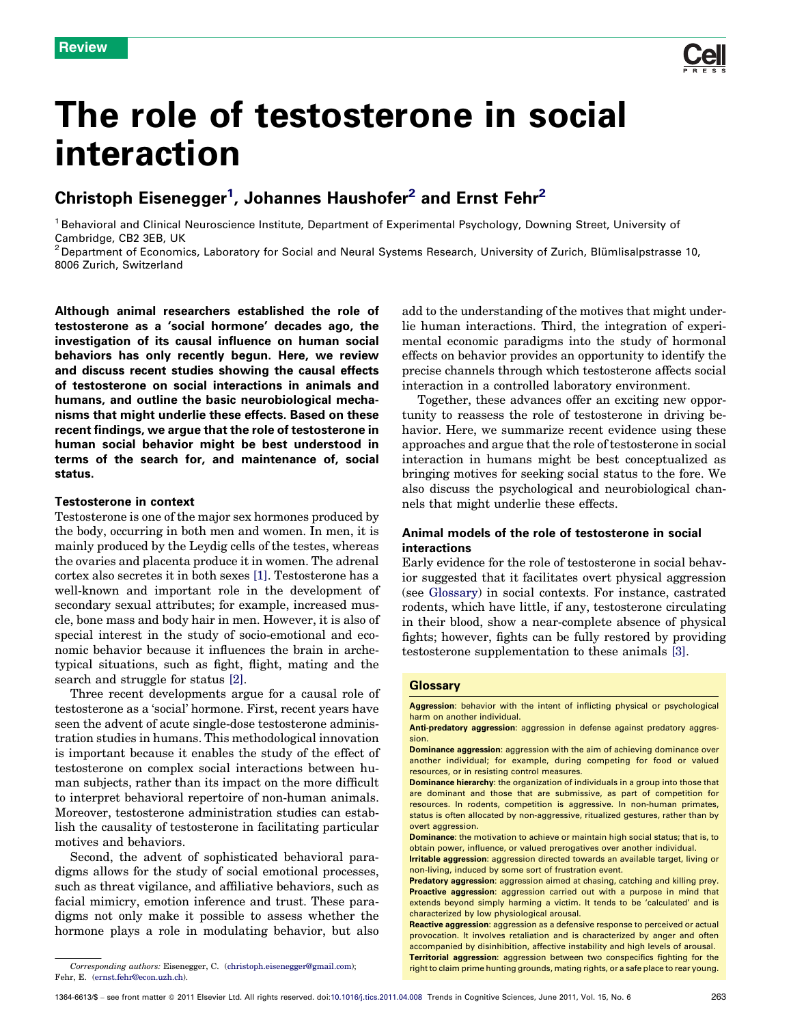

# The role of testosterone in social interaction

## Christoph Eisenegger<sup>1</sup>, Johannes Haushofer<sup>2</sup> and Ernst Fehr<sup>2</sup>

<sup>1</sup> Behavioral and Clinical Neuroscience Institute, Department of Experimental Psychology, Downing Street, University of Cambridge, CB2 3EB, UK

 $2$  Department of Economics, Laboratory for Social and Neural Systems Research, University of Zurich, Blümlisalpstrasse 10, 8006 Zurich, Switzerland

Although animal researchers established the role of testosterone as a 'social hormone' decades ago, the investigation of its causal influence on human social behaviors has only recently begun. Here, we review and discuss recent studies showing the causal effects of testosterone on social interactions in animals and humans, and outline the basic neurobiological mechanisms that might underlie these effects. Based on these recent findings, we argue that the role of testosterone in human social behavior might be best understood in terms of the search for, and maintenance of, social status.

#### Testosterone in context

Testosterone is one of the major sex hormones produced by the body, occurring in both men and women. In men, it is mainly produced by the Leydig cells of the testes, whereas the ovaries and placenta produce it in women. The adrenal cortex also secretes it in both sexes [\[1\]](#page-7-0). Testosterone has a well-known and important role in the development of secondary sexual attributes; for example, increased muscle, bone mass and body hair in men. However, it is also of special interest in the study of socio-emotional and economic behavior because it influences the brain in archetypical situations, such as fight, flight, mating and the search and struggle for status [\[2\].](#page-7-0)

Three recent developments argue for a causal role of testosterone as a 'social' hormone. First, recent years have seen the advent of acute single-dose testosterone administration studies in humans. This methodological innovation is important because it enables the study of the effect of testosterone on complex social interactions between human subjects, rather than its impact on the more difficult to interpret behavioral repertoire of non-human animals. Moreover, testosterone administration studies can establish the causality of testosterone in facilitating particular motives and behaviors.

Second, the advent of sophisticated behavioral paradigms allows for the study of social emotional processes, such as threat vigilance, and affiliative behaviors, such as facial mimicry, emotion inference and trust. These paradigms not only make it possible to assess whether the hormone plays a role in modulating behavior, but also

add to the understanding of the motives that might underlie human interactions. Third, the integration of experimental economic paradigms into the study of hormonal effects on behavior provides an opportunity to identify the precise channels through which testosterone affects social interaction in a controlled laboratory environment.

Together, these advances offer an exciting new opportunity to reassess the role of testosterone in driving behavior. Here, we summarize recent evidence using these approaches and argue that the role of testosterone in social interaction in humans might be best conceptualized as bringing motives for seeking social status to the fore. We also discuss the psychological and neurobiological channels that might underlie these effects.

#### Animal models of the role of testosterone in social interactions

Early evidence for the role of testosterone in social behavior suggested that it facilitates overt physical aggression (see Glossary) in social contexts. For instance, castrated rodents, which have little, if any, testosterone circulating in their blood, show a near-complete absence of physical fights; however, fights can be fully restored by providing testosterone supplementation to these animals [\[3\]](#page-7-0).

#### **Glossary**

Aggression: behavior with the intent of inflicting physical or psychological harm on another individual.

Anti-predatory aggression: aggression in defense against predatory aggression.

Fehr, E. [\(ernst.fehr@econ.uzh.ch\)](mailto:ernst.fehr@econ.uzh.ch).

Dominance aggression: aggression with the aim of achieving dominance over another individual; for example, during competing for food or valued resources, or in resisting control measures.

Dominance hierarchy: the organization of individuals in a group into those that are dominant and those that are submissive, as part of competition for resources. In rodents, competition is aggressive. In non-human primates, status is often allocated by non-aggressive, ritualized gestures, rather than by overt aggression.

Dominance: the motivation to achieve or maintain high social status; that is, to obtain power, influence, or valued prerogatives over another individual.

Irritable aggression: aggression directed towards an available target, living or non-living, induced by some sort of frustration event.

Predatory aggression: aggression aimed at chasing, catching and killing prey. Proactive aggression: aggression carried out with a purpose in mind that extends beyond simply harming a victim. It tends to be 'calculated' and is characterized by low physiological arousal.

Reactive aggression: aggression as a defensive response to perceived or actual provocation. It involves retaliation and is characterized by anger and often accompanied by disinhibition, affective instability and high levels of arousal. Territorial aggression: aggression between two conspecifics fighting for the Corresponding authors: Eisenegger, C. ([christoph.eisenegger@gmail.com](mailto:christoph.eisenegger@gmail.com)); eight to claim prime hunting grounds, mating rights, or a safe place to rear young.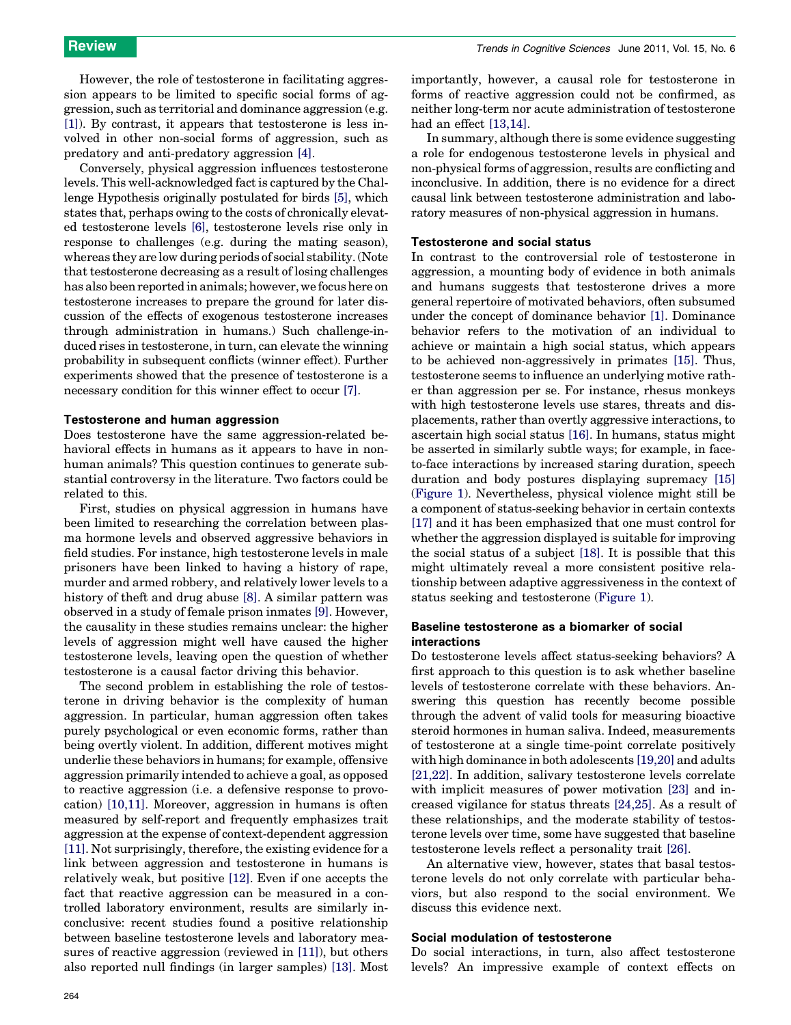However, the role of testosterone in facilitating aggression appears to be limited to specific social forms of aggression, such as territorial and dominance aggression (e.g. [\[1\]\)](#page-7-0). By contrast, it appears that testosterone is less involved in other non-social forms of aggression, such as predatory and anti-predatory aggression [\[4\].](#page-7-0)

Conversely, physical aggression influences testosterone levels. This well-acknowledged fact is captured by the Challenge Hypothesis originally postulated for birds [\[5\],](#page-7-0) which states that, perhaps owing to the costs of chronically elevated testosterone levels [\[6\]](#page-7-0), testosterone levels rise only in response to challenges (e.g. during the mating season), whereas they are low during periods of social stability. (Note that testosterone decreasing as a result of losing challenges has also been reported in animals; however, we focus here on testosterone increases to prepare the ground for later discussion of the effects of exogenous testosterone increases through administration in humans.) Such challenge-induced rises in testosterone, in turn, can elevate the winning probability in subsequent conflicts (winner effect). Further experiments showed that the presence of testosterone is a necessary condition for this winner effect to occur [\[7\].](#page-7-0)

#### Testosterone and human aggression

Does testosterone have the same aggression-related behavioral effects in humans as it appears to have in nonhuman animals? This question continues to generate substantial controversy in the literature. Two factors could be related to this.

First, studies on physical aggression in humans have been limited to researching the correlation between plasma hormone levels and observed aggressive behaviors in field studies. For instance, high testosterone levels in male prisoners have been linked to having a history of rape, murder and armed robbery, and relatively lower levels to a history of theft and drug abuse [\[8\]](#page-7-0). A similar pattern was observed in a study of female prison inmates [\[9\].](#page-7-0) However, the causality in these studies remains unclear: the higher levels of aggression might well have caused the higher testosterone levels, leaving open the question of whether testosterone is a causal factor driving this behavior.

The second problem in establishing the role of testosterone in driving behavior is the complexity of human aggression. In particular, human aggression often takes purely psychological or even economic forms, rather than being overtly violent. In addition, different motives might underlie these behaviors in humans; for example, offensive aggression primarily intended to achieve a goal, as opposed to reactive aggression (i.e. a defensive response to provocation) [\[10,11\]](#page-7-0). Moreover, aggression in humans is often measured by self-report and frequently emphasizes trait aggression at the expense of context-dependent aggression [\[11\]](#page-7-0). Not surprisingly, therefore, the existing evidence for a link between aggression and testosterone in humans is relatively weak, but positive [\[12\].](#page-7-0) Even if one accepts the fact that reactive aggression can be measured in a controlled laboratory environment, results are similarly inconclusive: recent studies found a positive relationship between baseline testosterone levels and laboratory measures of reactive aggression (reviewed in [\[11\]](#page-7-0)), but others also reported null findings (in larger samples) [\[13\]](#page-7-0). Most importantly, however, a causal role for testosterone in forms of reactive aggression could not be confirmed, as neither long-term nor acute administration of testosterone had an effect [\[13,14\]](#page-7-0).

In summary, although there is some evidence suggesting a role for endogenous testosterone levels in physical and non-physical forms of aggression, results are conflicting and inconclusive. In addition, there is no evidence for a direct causal link between testosterone administration and laboratory measures of non-physical aggression in humans.

#### Testosterone and social status

In contrast to the controversial role of testosterone in aggression, a mounting body of evidence in both animals and humans suggests that testosterone drives a more general repertoire of motivated behaviors, often subsumed under the concept of dominance behavior [\[1\].](#page-7-0) Dominance behavior refers to the motivation of an individual to achieve or maintain a high social status, which appears to be achieved non-aggressively in primates [\[15\]](#page-7-0). Thus, testosterone seems to influence an underlying motive rather than aggression per se. For instance, rhesus monkeys with high testosterone levels use stares, threats and displacements, rather than overtly aggressive interactions, to ascertain high social status [\[16\].](#page-7-0) In humans, status might be asserted in similarly subtle ways; for example, in faceto-face interactions by increased staring duration, speech duration and body postures displaying supremacy [\[15\]](#page-7-0) ([Figure 1](#page-2-0)). Nevertheless, physical violence might still be a component of status-seeking behavior in certain contexts [\[17\]](#page-7-0) and it has been emphasized that one must control for whether the aggression displayed is suitable for improving the social status of a subject [\[18\]](#page-7-0). It is possible that this might ultimately reveal a more consistent positive relationship between adaptive aggressiveness in the context of status seeking and testosterone ([Figure 1\)](#page-2-0).

#### Baseline testosterone as a biomarker of social interactions

Do testosterone levels affect status-seeking behaviors? A first approach to this question is to ask whether baseline levels of testosterone correlate with these behaviors. Answering this question has recently become possible through the advent of valid tools for measuring bioactive steroid hormones in human saliva. Indeed, measurements of testosterone at a single time-point correlate positively with high dominance in both adolescents [\[19,20\]](#page-7-0) and adults [\[21,22\]](#page-7-0). In addition, salivary testosterone levels correlate with implicit measures of power motivation [\[23\]](#page-7-0) and increased vigilance for status threats [\[24,25\]](#page-7-0). As a result of these relationships, and the moderate stability of testosterone levels over time, some have suggested that baseline testosterone levels reflect a personality trait [\[26\].](#page-7-0)

An alternative view, however, states that basal testosterone levels do not only correlate with particular behaviors, but also respond to the social environment. We discuss this evidence next.

### Social modulation of testosterone

Do social interactions, in turn, also affect testosterone levels? An impressive example of context effects on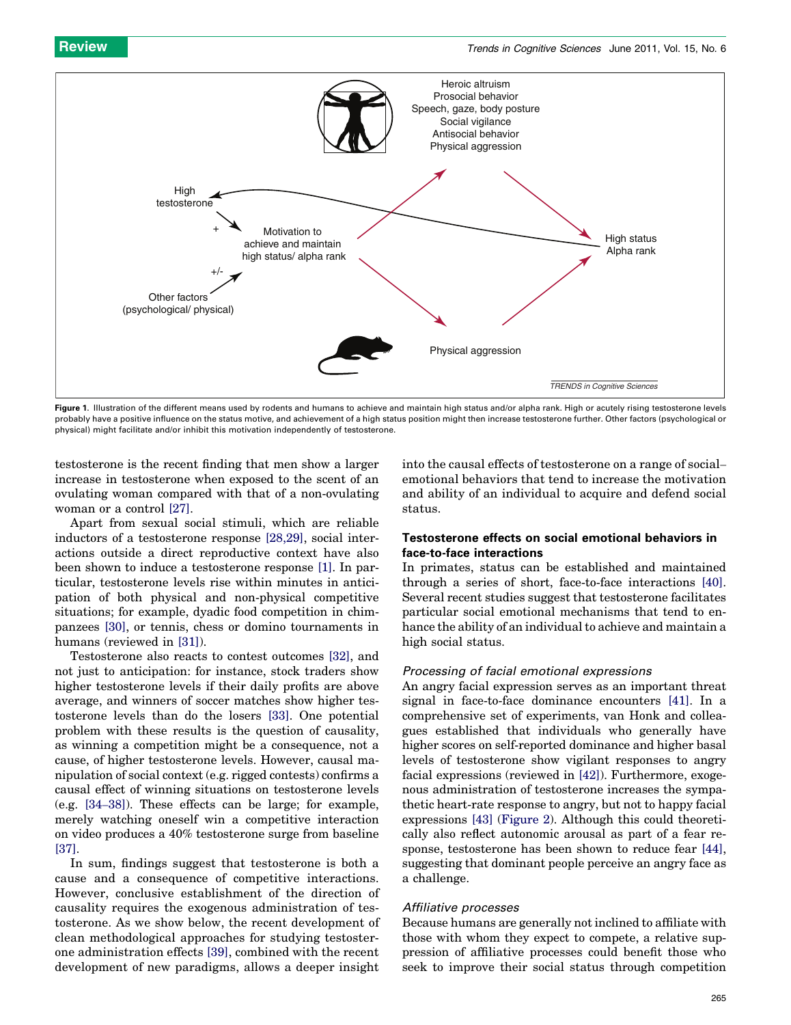<span id="page-2-0"></span>

Figure 1. Illustration of the different means used by rodents and humans to achieve and maintain high status and/or alpha rank. High or acutely rising testosterone levels probably have a positive influence on the status motive, and achievement of a high status position might then increase testosterone further. Other factors (psychological or physical) might facilitate and/or inhibit this motivation independently of testosterone.

testosterone is the recent finding that men show a larger increase in testosterone when exposed to the scent of an ovulating woman compared with that of a non-ovulating woman or a control [\[27\]](#page-7-0).

Apart from sexual social stimuli, which are reliable inductors of a testosterone response [\[28,29\]](#page-7-0), social interactions outside a direct reproductive context have also been shown to induce a testosterone response [\[1\]](#page-7-0). In particular, testosterone levels rise within minutes in anticipation of both physical and non-physical competitive situations; for example, dyadic food competition in chimpanzees [\[30\],](#page-7-0) or tennis, chess or domino tournaments in humans (reviewed in [\[31\]](#page-7-0)).

Testosterone also reacts to contest outcomes [\[32\]](#page-7-0), and not just to anticipation: for instance, stock traders show higher testosterone levels if their daily profits are above average, and winners of soccer matches show higher testosterone levels than do the losers [\[33\]](#page-7-0). One potential problem with these results is the question of causality, as winning a competition might be a consequence, not a cause, of higher testosterone levels. However, causal manipulation of social context (e.g. rigged contests) confirms a causal effect of winning situations on testosterone levels (e.g. [\[34](#page-7-0)–38]). These effects can be large; for example, merely watching oneself win a competitive interaction on video produces a 40% testosterone surge from baseline [\[37\]](#page-7-0).

In sum, findings suggest that testosterone is both a cause and a consequence of competitive interactions. However, conclusive establishment of the direction of causality requires the exogenous administration of testosterone. As we show below, the recent development of clean methodological approaches for studying testosterone administration effects [\[39\]](#page-7-0), combined with the recent development of new paradigms, allows a deeper insight

into the causal effects of testosterone on a range of social– emotional behaviors that tend to increase the motivation and ability of an individual to acquire and defend social status.

### Testosterone effects on social emotional behaviors in face-to-face interactions

In primates, status can be established and maintained through a series of short, face-to-face interactions [\[40\]](#page-7-0). Several recent studies suggest that testosterone facilitates particular social emotional mechanisms that tend to enhance the ability of an individual to achieve and maintain a high social status.

#### Processing of facial emotional expressions

An angry facial expression serves as an important threat signal in face-to-face dominance encounters [\[41\]](#page-7-0). In a comprehensive set of experiments, van Honk and colleagues established that individuals who generally have higher scores on self-reported dominance and higher basal levels of testosterone show vigilant responses to angry facial expressions (reviewed in [\[42\]\)](#page-7-0). Furthermore, exogenous administration of testosterone increases the sympathetic heart-rate response to angry, but not to happy facial expressions [\[43\]](#page-7-0) [\(Figure 2\)](#page-3-0). Although this could theoretically also reflect autonomic arousal as part of a fear response, testosterone has been shown to reduce fear [\[44\]](#page-7-0), suggesting that dominant people perceive an angry face as a challenge.

#### Affiliative processes

Because humans are generally not inclined to affiliate with those with whom they expect to compete, a relative suppression of affiliative processes could benefit those who seek to improve their social status through competition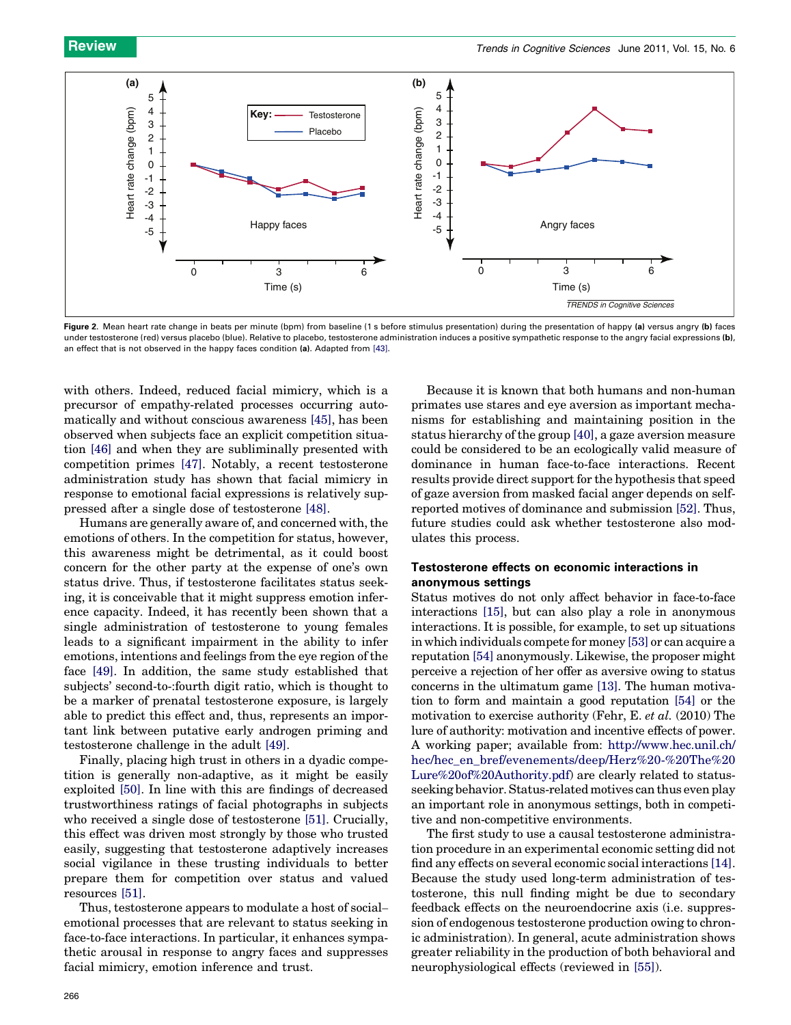<span id="page-3-0"></span>

Figure 2. Mean heart rate change in beats per minute (bpm) from baseline (1 s before stimulus presentation) during the presentation of happy (a) versus angry (b) faces under testosterone (red) versus placebo (blue). Relative to placebo, testosterone administration induces a positive sympathetic response to the angry facial expressions (b), an effect that is not observed in the happy faces condition (a). Adapted from [\[43\]](#page-7-0).

with others. Indeed, reduced facial mimicry, which is a precursor of empathy-related processes occurring automatically and without conscious awareness [\[45\],](#page-7-0) has been observed when subjects face an explicit competition situation [\[46\]](#page-7-0) and when they are subliminally presented with competition primes [\[47\].](#page-8-0) Notably, a recent testosterone administration study has shown that facial mimicry in response to emotional facial expressions is relatively suppressed after a single dose of testosterone [\[48\]](#page-8-0).

Humans are generally aware of, and concerned with, the emotions of others. In the competition for status, however, this awareness might be detrimental, as it could boost concern for the other party at the expense of one's own status drive. Thus, if testosterone facilitates status seeking, it is conceivable that it might suppress emotion inference capacity. Indeed, it has recently been shown that a single administration of testosterone to young females leads to a significant impairment in the ability to infer emotions, intentions and feelings from the eye region of the face [\[49\]](#page-8-0). In addition, the same study established that subjects' second-to-:fourth digit ratio, which is thought to be a marker of prenatal testosterone exposure, is largely able to predict this effect and, thus, represents an important link between putative early androgen priming and testosterone challenge in the adult [\[49\].](#page-8-0)

Finally, placing high trust in others in a dyadic competition is generally non-adaptive, as it might be easily exploited [\[50\]](#page-8-0). In line with this are findings of decreased trustworthiness ratings of facial photographs in subjects who received a single dose of testosterone [\[51\].](#page-8-0) Crucially, this effect was driven most strongly by those who trusted easily, suggesting that testosterone adaptively increases social vigilance in these trusting individuals to better prepare them for competition over status and valued resources [\[51\]](#page-8-0).

Thus, testosterone appears to modulate a host of social– emotional processes that are relevant to status seeking in face-to-face interactions. In particular, it enhances sympathetic arousal in response to angry faces and suppresses facial mimicry, emotion inference and trust.

Because it is known that both humans and non-human primates use stares and eye aversion as important mechanisms for establishing and maintaining position in the status hierarchy of the group [\[40\]](#page-7-0), a gaze aversion measure could be considered to be an ecologically valid measure of dominance in human face-to-face interactions. Recent results provide direct support for the hypothesis that speed of gaze aversion from masked facial anger depends on selfreported motives of dominance and submission [\[52\]](#page-8-0). Thus, future studies could ask whether testosterone also modulates this process.

#### Testosterone effects on economic interactions in anonymous settings

Status motives do not only affect behavior in face-to-face interactions [\[15\]](#page-7-0), but can also play a role in anonymous interactions. It is possible, for example, to set up situations in which individuals compete for money [\[53\]](#page-8-0) or can acquire a reputation [\[54\]](#page-8-0) anonymously. Likewise, the proposer might perceive a rejection of her offer as aversive owing to status concerns in the ultimatum game [\[13\].](#page-7-0) The human motivation to form and maintain a good reputation [\[54\]](#page-8-0) or the motivation to exercise authority (Fehr, E. et al. (2010) The lure of authority: motivation and incentive effects of power. A working paper; available from: [http://www.hec.unil.ch/](http://www.hec.unil.ch/hec/hec_en_bref/evenements/deep/Herz%2520-%2520The%2520Lure%2520of%2520Authority.pdf) [hec/hec\\_en\\_bref/evenements/deep/Herz%20-%20The%20](http://www.hec.unil.ch/hec/hec_en_bref/evenements/deep/Herz%2520-%2520The%2520Lure%2520of%2520Authority.pdf) [Lure%20of%20Authority.pdf](http://www.hec.unil.ch/hec/hec_en_bref/evenements/deep/Herz%2520-%2520The%2520Lure%2520of%2520Authority.pdf)) are clearly related to statusseeking behavior. Status-related motives can thus even play an important role in anonymous settings, both in competitive and non-competitive environments.

The first study to use a causal testosterone administration procedure in an experimental economic setting did not find any effects on several economic social interactions [\[14\]](#page-7-0). Because the study used long-term administration of testosterone, this null finding might be due to secondary feedback effects on the neuroendocrine axis (i.e. suppression of endogenous testosterone production owing to chronic administration). In general, acute administration shows greater reliability in the production of both behavioral and neurophysiological effects (reviewed in [\[55\]](#page-8-0)).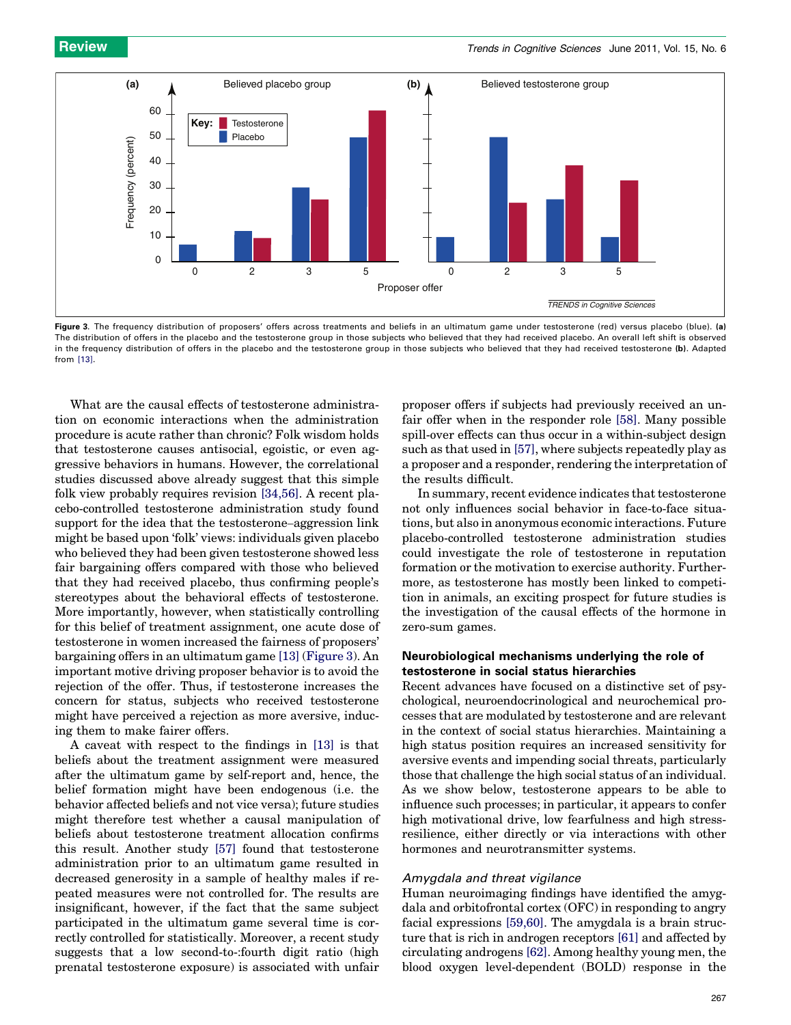

Figure 3. The frequency distribution of proposers' offers across treatments and beliefs in an ultimatum game under testosterone (red) versus placebo (blue). (a) The distribution of offers in the placebo and the testosterone group in those subjects who believed that they had received placebo. An overall left shift is observed in the frequency distribution of offers in the placebo and the testosterone group in those subjects who believed that they had received testosterone (b). Adapted from [\[13\]](#page-7-0).

What are the causal effects of testosterone administration on economic interactions when the administration procedure is acute rather than chronic? Folk wisdom holds that testosterone causes antisocial, egoistic, or even aggressive behaviors in humans. However, the correlational studies discussed above already suggest that this simple folk view probably requires revision [\[34,56\].](#page-7-0) A recent placebo-controlled testosterone administration study found support for the idea that the testosterone–aggression link might be based upon 'folk' views: individuals given placebo who believed they had been given testosterone showed less fair bargaining offers compared with those who believed that they had received placebo, thus confirming people's stereotypes about the behavioral effects of testosterone. More importantly, however, when statistically controlling for this belief of treatment assignment, one acute dose of testosterone in women increased the fairness of proposers' bargaining offers in an ultimatum game [\[13\]](#page-7-0) (Figure 3). An important motive driving proposer behavior is to avoid the rejection of the offer. Thus, if testosterone increases the concern for status, subjects who received testosterone might have perceived a rejection as more aversive, inducing them to make fairer offers.

A caveat with respect to the findings in [\[13\]](#page-7-0) is that beliefs about the treatment assignment were measured after the ultimatum game by self-report and, hence, the belief formation might have been endogenous (i.e. the behavior affected beliefs and not vice versa); future studies might therefore test whether a causal manipulation of beliefs about testosterone treatment allocation confirms this result. Another study [\[57\]](#page-8-0) found that testosterone administration prior to an ultimatum game resulted in decreased generosity in a sample of healthy males if repeated measures were not controlled for. The results are insignificant, however, if the fact that the same subject participated in the ultimatum game several time is correctly controlled for statistically. Moreover, a recent study suggests that a low second-to-:fourth digit ratio (high prenatal testosterone exposure) is associated with unfair

proposer offers if subjects had previously received an unfair offer when in the responder role [\[58\].](#page-8-0) Many possible spill-over effects can thus occur in a within-subject design such as that used in [\[57\]](#page-8-0), where subjects repeatedly play as a proposer and a responder, rendering the interpretation of the results difficult.

In summary, recent evidence indicates that testosterone not only influences social behavior in face-to-face situations, but also in anonymous economic interactions. Future placebo-controlled testosterone administration studies could investigate the role of testosterone in reputation formation or the motivation to exercise authority. Furthermore, as testosterone has mostly been linked to competition in animals, an exciting prospect for future studies is the investigation of the causal effects of the hormone in zero-sum games.

#### Neurobiological mechanisms underlying the role of testosterone in social status hierarchies

Recent advances have focused on a distinctive set of psychological, neuroendocrinological and neurochemical processes that are modulated by testosterone and are relevant in the context of social status hierarchies. Maintaining a high status position requires an increased sensitivity for aversive events and impending social threats, particularly those that challenge the high social status of an individual. As we show below, testosterone appears to be able to influence such processes; in particular, it appears to confer high motivational drive, low fearfulness and high stressresilience, either directly or via interactions with other hormones and neurotransmitter systems.

#### Amygdala and threat vigilance

Human neuroimaging findings have identified the amygdala and orbitofrontal cortex (OFC) in responding to angry facial expressions [\[59,60\]](#page-8-0). The amygdala is a brain structure that is rich in androgen receptors [\[61\]](#page-8-0) and affected by circulating androgens [\[62\]](#page-8-0). Among healthy young men, the blood oxygen level-dependent (BOLD) response in the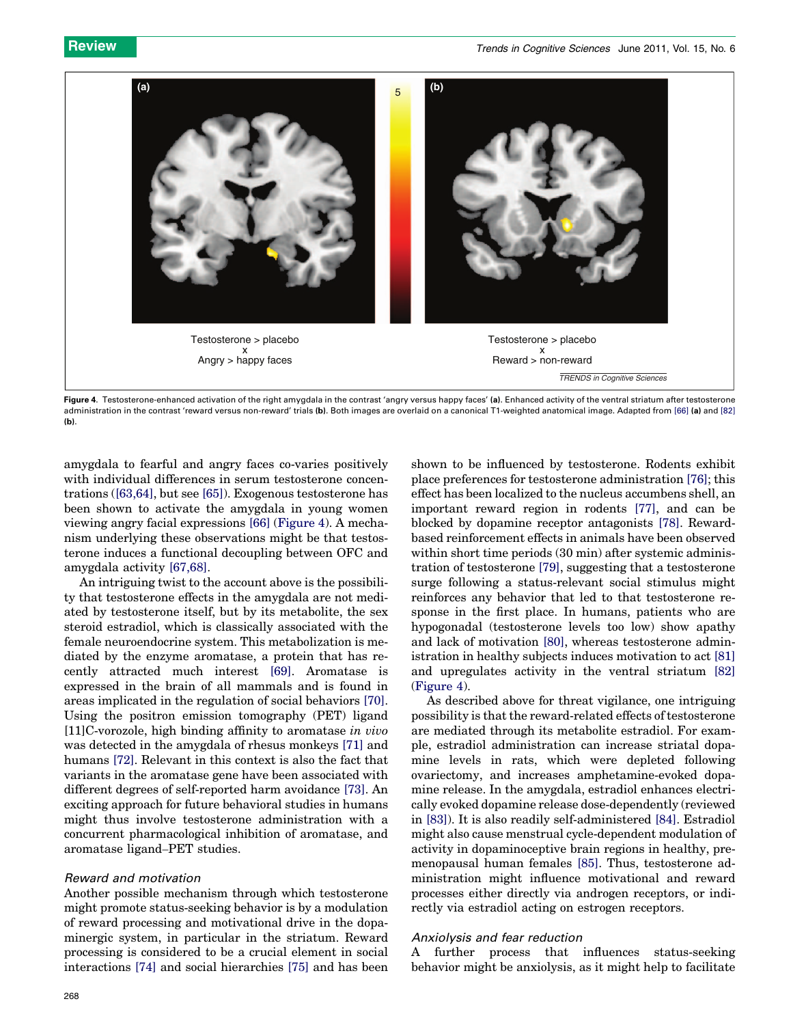

Figure 4. Testosterone-enhanced activation of the right amygdala in the contrast 'angry versus happy faces' (a). Enhanced activity of the ventral striatum after testosterone administration in the contrast 'reward versus non-reward' trials (b). Both images are overlaid on a canonical T1-weighted anatomical image. Adapted from [\[66\]](#page-8-0) (a) and [\[82\]](#page-8-0)  $(b)$ 

amygdala to fearful and angry faces co-varies positively with individual differences in serum testosterone concentrations [\(\[63,64\],](#page-8-0) but see [\[65\]](#page-8-0)). Exogenous testosterone has been shown to activate the amygdala in young women viewing angry facial expressions [\[66\]](#page-8-0) (Figure 4). A mechanism underlying these observations might be that testosterone induces a functional decoupling between OFC and amygdala activity [\[67,68\].](#page-8-0)

An intriguing twist to the account above is the possibility that testosterone effects in the amygdala are not mediated by testosterone itself, but by its metabolite, the sex steroid estradiol, which is classically associated with the female neuroendocrine system. This metabolization is mediated by the enzyme aromatase, a protein that has recently attracted much interest [\[69\].](#page-8-0) Aromatase is expressed in the brain of all mammals and is found in areas implicated in the regulation of social behaviors [\[70\]](#page-8-0). Using the positron emission tomography (PET) ligand [11]C-vorozole, high binding affinity to aromatase in vivo was detected in the amygdala of rhesus monkeys [\[71\]](#page-8-0) and humans [\[72\]](#page-8-0). Relevant in this context is also the fact that variants in the aromatase gene have been associated with different degrees of self-reported harm avoidance [\[73\].](#page-8-0) An exciting approach for future behavioral studies in humans might thus involve testosterone administration with a concurrent pharmacological inhibition of aromatase, and aromatase ligand–PET studies.

#### Reward and motivation

Another possible mechanism through which testosterone might promote status-seeking behavior is by a modulation of reward processing and motivational drive in the dopaminergic system, in particular in the striatum. Reward processing is considered to be a crucial element in social interactions [\[74\]](#page-8-0) and social hierarchies [\[75\]](#page-8-0) and has been shown to be influenced by testosterone. Rodents exhibit place preferences for testosterone administration [\[76\]](#page-8-0); this effect has been localized to the nucleus accumbens shell, an important reward region in rodents [\[77\]](#page-8-0), and can be blocked by dopamine receptor antagonists [\[78\].](#page-8-0) Rewardbased reinforcement effects in animals have been observed within short time periods  $(30 \text{ min})$  after systemic administration of testosterone [\[79\],](#page-8-0) suggesting that a testosterone surge following a status-relevant social stimulus might reinforces any behavior that led to that testosterone response in the first place. In humans, patients who are hypogonadal (testosterone levels too low) show apathy and lack of motivation [\[80\]](#page-8-0), whereas testosterone administration in healthy subjects induces motivation to act [\[81\]](#page-8-0) and upregulates activity in the ventral striatum [\[82\]](#page-8-0) (Figure 4).

As described above for threat vigilance, one intriguing possibility is that the reward-related effects of testosterone are mediated through its metabolite estradiol. For example, estradiol administration can increase striatal dopamine levels in rats, which were depleted following ovariectomy, and increases amphetamine-evoked dopamine release. In the amygdala, estradiol enhances electrically evoked dopamine release dose-dependently (reviewed in [\[83\]\)](#page-8-0). It is also readily self-administered [\[84\]](#page-8-0). Estradiol might also cause menstrual cycle-dependent modulation of activity in dopaminoceptive brain regions in healthy, premenopausal human females [\[85\].](#page-8-0) Thus, testosterone administration might influence motivational and reward processes either directly via androgen receptors, or indirectly via estradiol acting on estrogen receptors.

#### Anxiolysis and fear reduction

A further process that influences status-seeking behavior might be anxiolysis, as it might help to facilitate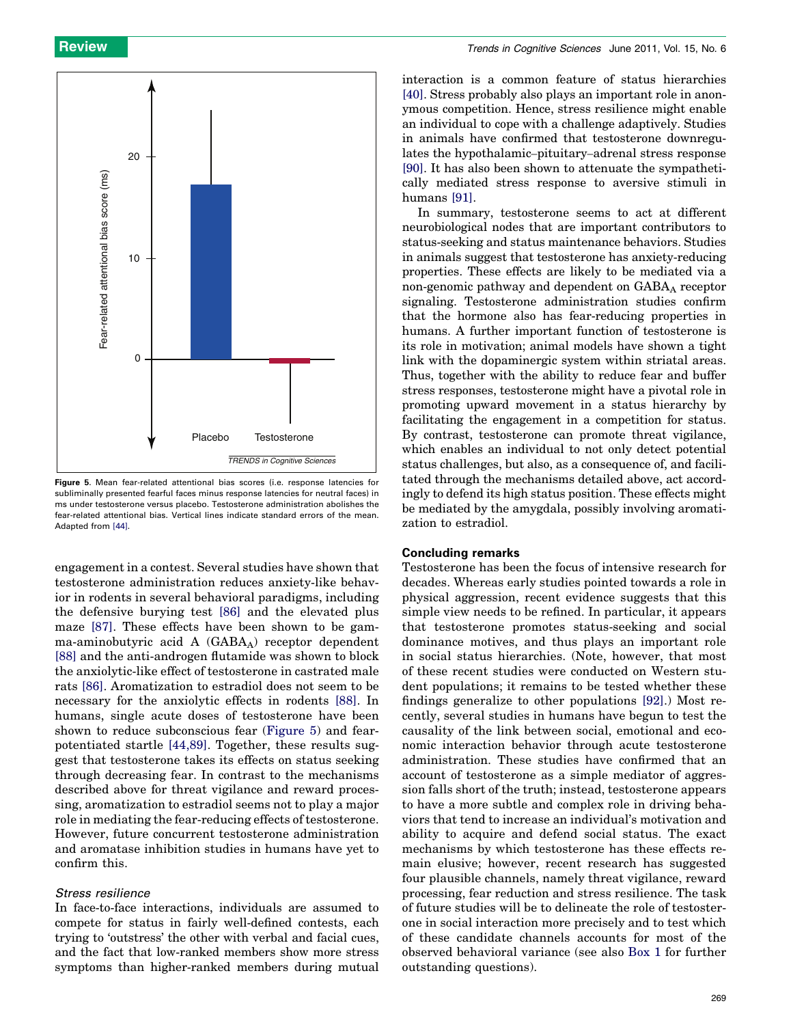

Figure 5. Mean fear-related attentional bias scores (i.e. response latencies for subliminally presented fearful faces minus response latencies for neutral faces) in ms under testosterone versus placebo. Testosterone administration abolishes the fear-related attentional bias. Vertical lines indicate standard errors of the mean. Adapted from [\[44\].](#page-7-0)

engagement in a contest. Several studies have shown that testosterone administration reduces anxiety-like behavior in rodents in several behavioral paradigms, including the defensive burying test [\[86\]](#page-8-0) and the elevated plus maze [\[87\]](#page-8-0). These effects have been shown to be gamma-aminobutyric acid  $A$  (GABA<sub>A</sub>) receptor dependent [\[88\]](#page-8-0) and the anti-androgen flutamide was shown to block the anxiolytic-like effect of testosterone in castrated male rats [\[86\]](#page-8-0). Aromatization to estradiol does not seem to be necessary for the anxiolytic effects in rodents [\[88\]](#page-8-0). In humans, single acute doses of testosterone have been shown to reduce subconscious fear (Figure 5) and fearpotentiated startle [\[44,89\].](#page-7-0) Together, these results suggest that testosterone takes its effects on status seeking through decreasing fear. In contrast to the mechanisms described above for threat vigilance and reward processing, aromatization to estradiol seems not to play a major role in mediating the fear-reducing effects of testosterone. However, future concurrent testosterone administration and aromatase inhibition studies in humans have yet to confirm this.

#### Stress resilience

In face-to-face interactions, individuals are assumed to compete for status in fairly well-defined contests, each trying to 'outstress' the other with verbal and facial cues, and the fact that low-ranked members show more stress symptoms than higher-ranked members during mutual

interaction is a common feature of status hierarchies [\[40\]](#page-7-0). Stress probably also plays an important role in anonymous competition. Hence, stress resilience might enable an individual to cope with a challenge adaptively. Studies in animals have confirmed that testosterone downregulates the hypothalamic–pituitary–adrenal stress response [\[90\]](#page-8-0). It has also been shown to attenuate the sympathetically mediated stress response to aversive stimuli in humans [\[91\]](#page-8-0).

In summary, testosterone seems to act at different neurobiological nodes that are important contributors to status-seeking and status maintenance behaviors. Studies in animals suggest that testosterone has anxiety-reducing properties. These effects are likely to be mediated via a non-genomic pathway and dependent on  $GABA_A$  receptor signaling. Testosterone administration studies confirm that the hormone also has fear-reducing properties in humans. A further important function of testosterone is its role in motivation; animal models have shown a tight link with the dopaminergic system within striatal areas. Thus, together with the ability to reduce fear and buffer stress responses, testosterone might have a pivotal role in promoting upward movement in a status hierarchy by facilitating the engagement in a competition for status. By contrast, testosterone can promote threat vigilance, which enables an individual to not only detect potential status challenges, but also, as a consequence of, and facilitated through the mechanisms detailed above, act accordingly to defend its high status position. These effects might be mediated by the amygdala, possibly involving aromatization to estradiol.

#### Concluding remarks

Testosterone has been the focus of intensive research for decades. Whereas early studies pointed towards a role in physical aggression, recent evidence suggests that this simple view needs to be refined. In particular, it appears that testosterone promotes status-seeking and social dominance motives, and thus plays an important role in social status hierarchies. (Note, however, that most of these recent studies were conducted on Western student populations; it remains to be tested whether these findings generalize to other populations [\[92\]](#page-8-0).) Most recently, several studies in humans have begun to test the causality of the link between social, emotional and economic interaction behavior through acute testosterone administration. These studies have confirmed that an account of testosterone as a simple mediator of aggression falls short of the truth; instead, testosterone appears to have a more subtle and complex role in driving behaviors that tend to increase an individual's motivation and ability to acquire and defend social status. The exact mechanisms by which testosterone has these effects remain elusive; however, recent research has suggested four plausible channels, namely threat vigilance, reward processing, fear reduction and stress resilience. The task of future studies will be to delineate the role of testosterone in social interaction more precisely and to test which of these candidate channels accounts for most of the observed behavioral variance (see also [Box 1](#page-7-0) for further outstanding questions).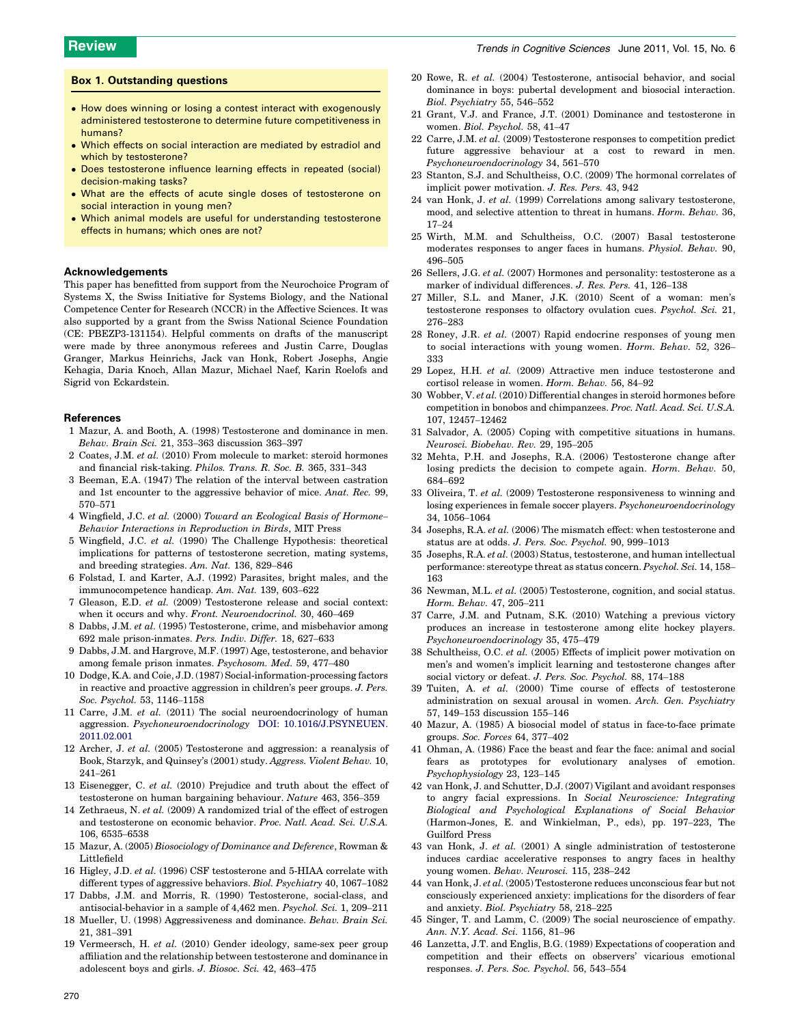#### <span id="page-7-0"></span>Box 1. Outstanding questions

- How does winning or losing a contest interact with exogenously administered testosterone to determine future competitiveness in humans?
- $\bullet\,$  Which effects on social interaction are mediated by estradiol and which by testosterone?
- Does testosterone influence learning effects in repeated (social) decision-making tasks?
- What are the effects of acute single doses of testosterone on social interaction in young men?
- Which animal models are useful for understanding testosterone effects in humans; which ones are not?

#### Acknowledgements

This paper has benefitted from support from the Neurochoice Program of Systems X, the Swiss Initiative for Systems Biology, and the National Competence Center for Research (NCCR) in the Affective Sciences. It was also supported by a grant from the Swiss National Science Foundation (CE: PBEZP3-131154). Helpful comments on drafts of the manuscript were made by three anonymous referees and Justin Carre, Douglas Granger, Markus Heinrichs, Jack van Honk, Robert Josephs, Angie Kehagia, Daria Knoch, Allan Mazur, Michael Naef, Karin Roelofs and Sigrid von Eckardstein.

#### References

- 1 Mazur, A. and Booth, A. (1998) Testosterone and dominance in men. Behav. Brain Sci. 21, 353–363 discussion 363–397
- 2 Coates, J.M. et al. (2010) From molecule to market: steroid hormones and financial risk-taking. Philos. Trans. R. Soc. B. 365, 331–343
- 3 Beeman, E.A. (1947) The relation of the interval between castration and 1st encounter to the aggressive behavior of mice. Anat. Rec. 99, 570–571
- 4 Wingfield, J.C. et al. (2000) Toward an Ecological Basis of Hormone– Behavior Interactions in Reproduction in Birds, MIT Press
- 5 Wingfield, J.C. et al. (1990) The Challenge Hypothesis: theoretical implications for patterns of testosterone secretion, mating systems, and breeding strategies. Am. Nat. 136, 829–846
- 6 Folstad, I. and Karter, A.J. (1992) Parasites, bright males, and the immunocompetence handicap. Am. Nat. 139, 603–622
- 7 Gleason, E.D. et al. (2009) Testosterone release and social context: when it occurs and why. Front. Neuroendocrinol. 30, 460-469
- 8 Dabbs, J.M. et al. (1995) Testosterone, crime, and misbehavior among 692 male prison-inmates. Pers. Indiv. Differ. 18, 627–633
- 9 Dabbs, J.M. and Hargrove, M.F. (1997) Age, testosterone, and behavior among female prison inmates. Psychosom. Med. 59, 477–480
- 10 Dodge, K.A. and Coie, J.D. (1987) Social-information-processing factors in reactive and proactive aggression in children's peer groups. J. Pers. Soc. Psychol. 53, 1146–1158
- 11 Carre, J.M. et al. (2011) The social neuroendocrinology of human aggression. Psychoneuroendocrinology [DOI: 10.1016/J.PSYNEUEN.](http://dx.doi.org/10.1016/J.PSYNEUEN.                        2011.02.001) [2011.02.001](http://dx.doi.org/10.1016/J.PSYNEUEN.                        2011.02.001)
- 12 Archer, J. et al. (2005) Testosterone and aggression: a reanalysis of Book, Starzyk, and Quinsey's (2001) study. Aggress. Violent Behav. 10, 241–261
- 13 Eisenegger, C. et al. (2010) Prejudice and truth about the effect of testosterone on human bargaining behaviour. Nature 463, 356–359
- 14 Zethraeus, N. et al. (2009) A randomized trial of the effect of estrogen and testosterone on economic behavior. Proc. Natl. Acad. Sci. U.S.A. 106, 6535–6538
- 15 Mazur, A. (2005) Biosociology of Dominance and Deference, Rowman & Littlefield
- 16 Higley, J.D. et al. (1996) CSF testosterone and 5-HIAA correlate with different types of aggressive behaviors. Biol. Psychiatry 40, 1067–1082
- 17 Dabbs, J.M. and Morris, R. (1990) Testosterone, social-class, and antisocial-behavior in a sample of 4,462 men. Psychol. Sci. 1, 209–211
- 18 Mueller, U. (1998) Aggressiveness and dominance. Behav. Brain Sci. 21, 381–391
- 19 Vermeersch, H. et al. (2010) Gender ideology, same-sex peer group affiliation and the relationship between testosterone and dominance in adolescent boys and girls. J. Biosoc. Sci. 42, 463–475
- 20 Rowe, R. et al. (2004) Testosterone, antisocial behavior, and social dominance in boys: pubertal development and biosocial interaction. Biol. Psychiatry 55, 546–552
- 21 Grant, V.J. and France, J.T. (2001) Dominance and testosterone in women. Biol. Psychol. 58, 41–47
- 22 Carre, J.M. et al. (2009) Testosterone responses to competition predict future aggressive behaviour at a cost to reward in men. Psychoneuroendocrinology 34, 561–570
- 23 Stanton, S.J. and Schultheiss, O.C. (2009) The hormonal correlates of implicit power motivation. J. Res. Pers. 43, 942
- 24 van Honk, J. et al. (1999) Correlations among salivary testosterone, mood, and selective attention to threat in humans. Horm. Behav. 36, 17–24
- 25 Wirth, M.M. and Schultheiss, O.C. (2007) Basal testosterone moderates responses to anger faces in humans. Physiol. Behav. 90, 496–505
- 26 Sellers, J.G. et al. (2007) Hormones and personality: testosterone as a marker of individual differences. J. Res. Pers. 41, 126–138
- 27 Miller, S.L. and Maner, J.K. (2010) Scent of a woman: men's testosterone responses to olfactory ovulation cues. Psychol. Sci. 21, 276–283
- 28 Roney, J.R. et al. (2007) Rapid endocrine responses of young men to social interactions with young women. Horm. Behav. 52, 326– 333
- 29 Lopez, H.H. et al. (2009) Attractive men induce testosterone and cortisol release in women. Horm. Behav. 56, 84–92
- 30 Wobber, V. et al. (2010) Differential changes in steroid hormones before competition in bonobos and chimpanzees. Proc. Natl. Acad. Sci. U.S.A. 107, 12457–12462
- 31 Salvador, A. (2005) Coping with competitive situations in humans. Neurosci. Biobehav. Rev. 29, 195–205
- 32 Mehta, P.H. and Josephs, R.A. (2006) Testosterone change after losing predicts the decision to compete again. Horm. Behav. 50, 684–692
- 33 Oliveira, T. et al. (2009) Testosterone responsiveness to winning and losing experiences in female soccer players. Psychoneuroendocrinology 34, 1056–1064
- 34 Josephs, R.A. et al. (2006) The mismatch effect: when testosterone and status are at odds. J. Pers. Soc. Psychol. 90, 999–1013
- 35 Josephs, R.A. et al. (2003) Status, testosterone, and human intellectual performance: stereotype threat as status concern. Psychol. Sci. 14, 158– 163
- 36 Newman, M.L. et al. (2005) Testosterone, cognition, and social status. Horm. Behav. 47, 205–211
- 37 Carre, J.M. and Putnam, S.K. (2010) Watching a previous victory produces an increase in testosterone among elite hockey players. Psychoneuroendocrinology 35, 475–479
- 38 Schultheiss, O.C. et al. (2005) Effects of implicit power motivation on men's and women's implicit learning and testosterone changes after social victory or defeat. J. Pers. Soc. Psychol. 88, 174–188
- 39 Tuiten, A. et al. (2000) Time course of effects of testosterone administration on sexual arousal in women. Arch. Gen. Psychiatry 57, 149–153 discussion 155–146
- 40 Mazur, A. (1985) A biosocial model of status in face-to-face primate groups. Soc. Forces 64, 377–402
- 41 Ohman, A. (1986) Face the beast and fear the face: animal and social fears as prototypes for evolutionary analyses of emotion. Psychophysiology 23, 123–145
- 42 van Honk, J. and Schutter, D.J. (2007) Vigilant and avoidant responses to angry facial expressions. In Social Neuroscience: Integrating Biological and Psychological Explanations of Social Behavior (Harmon-Jones, E. and Winkielman, P., eds), pp. 197–223, The Guilford Press
- 43 van Honk, J. et al. (2001) A single administration of testosterone induces cardiac accelerative responses to angry faces in healthy young women. Behav. Neurosci. 115, 238–242
- 44 van Honk, J. et al. (2005) Testosterone reduces unconscious fear but not consciously experienced anxiety: implications for the disorders of fear and anxiety. Biol. Psychiatry 58, 218–225
- 45 Singer, T. and Lamm, C. (2009) The social neuroscience of empathy. Ann. N.Y. Acad. Sci. 1156, 81–96
- 46 Lanzetta, J.T. and Englis, B.G. (1989) Expectations of cooperation and competition and their effects on observers' vicarious emotional responses. J. Pers. Soc. Psychol. 56, 543–554